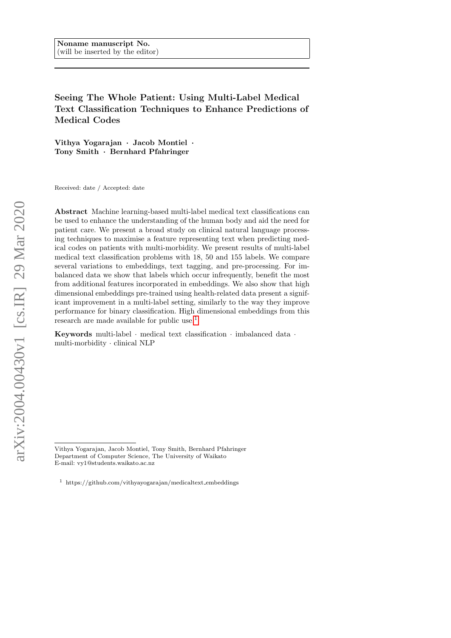Seeing The Whole Patient: Using Multi-Label Medical Text Classification Techniques to Enhance Predictions of Medical Codes

Vithya Yogarajan · Jacob Montiel · Tony Smith · Bernhard Pfahringer

Received: date / Accepted: date

Abstract Machine learning-based multi-label medical text classifications can be used to enhance the understanding of the human body and aid the need for patient care. We present a broad study on clinical natural language processing techniques to maximise a feature representing text when predicting medical codes on patients with multi-morbidity. We present results of multi-label medical text classification problems with 18, 50 and 155 labels. We compare several variations to embeddings, text tagging, and pre-processing. For imbalanced data we show that labels which occur infrequently, benefit the most from additional features incorporated in embeddings. We also show that high dimensional embeddings pre-trained using health-related data present a significant improvement in a multi-label setting, similarly to the way they improve performance for binary classification. High dimensional embeddings from this research are made available for public use.<sup>[1](#page-0-0)</sup>

Keywords multi-label  $\cdot$  medical text classification  $\cdot$  imbalanced data  $\cdot$ multi-morbidity · clinical NLP

Vithya Yogarajan, Jacob Montiel, Tony Smith, Bernhard Pfahringer Department of Computer Science, The University of Waikato E-mail: vy1@students.waikato.ac.nz

<span id="page-0-0"></span> $1$  https://github.com/vithyayogarajan/medicaltext\_embeddings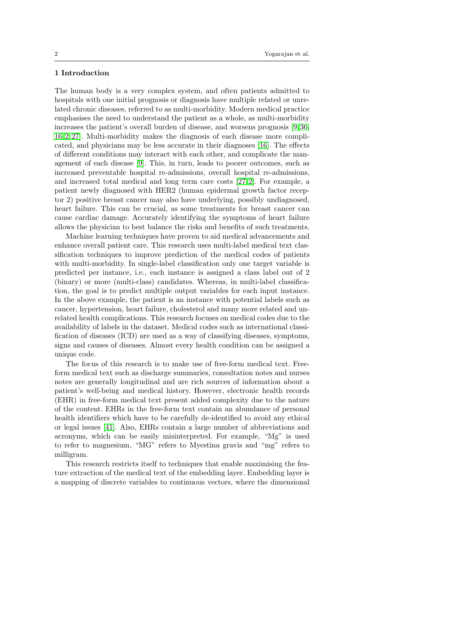# 1 Introduction

The human body is a very complex system, and often patients admitted to hospitals with one initial prognosis or diagnosis have multiple related or unrelated chronic diseases, referred to as multi-morbidity. Modern medical practice emphasises the need to understand the patient as a whole, as multi-morbidity increases the patient's overall burden of disease, and worsens prognosis [\[9,](#page-23-0) [36,](#page-25-0) [16,](#page-24-0) [2,](#page-23-1) [27\]](#page-24-1). Multi-morbidity makes the diagnosis of each disease more complicated, and physicians may be less accurate in their diagnoses [\[16\]](#page-24-0). The effects of different conditions may interact with each other, and complicate the management of each disease [\[9\]](#page-23-0). This, in turn, leads to poorer outcomes, such as increased preventable hospital re-admissions, overall hospital re-admissions, and increased total medical and long term care costs [\[27,](#page-24-1) [2\]](#page-23-1). For example, a patient newly diagnosed with HER2 (human epidermal growth factor receptor 2) positive breast cancer may also have underlying, possibly undiagnosed, heart failure. This can be crucial, as some treatments for breast cancer can cause cardiac damage. Accurately identifying the symptoms of heart failure allows the physician to best balance the risks and benefits of such treatments.

Machine learning techniques have proven to aid medical advancements and enhance overall patient care. This research uses multi-label medical text classification techniques to improve prediction of the medical codes of patients with multi-morbidity. In single-label classification only one target variable is predicted per instance, i.e., each instance is assigned a class label out of 2 (binary) or more (multi-class) candidates. Whereas, in multi-label classification, the goal is to predict multiple output variables for each input instance. In the above example, the patient is an instance with potential labels such as cancer, hypertension, heart failure, cholesterol and many more related and unrelated health complications. This research focuses on medical codes due to the availability of labels in the dataset. Medical codes such as international classification of diseases (ICD) are used as a way of classifying diseases, symptoms, signs and causes of diseases. Almost every health condition can be assigned a unique code.

The focus of this research is to make use of free-form medical text. Freeform medical text such as discharge summaries, consultation notes and nurses notes are generally longitudinal and are rich sources of information about a patient's well-being and medical history. However, electronic health records (EHR) in free-form medical text present added complexity due to the nature of the content. EHRs in the free-form text contain an abundance of personal health identifiers which have to be carefully de-identified to avoid any ethical or legal issues [\[41\]](#page-25-1). Also, EHRs contain a large number of abbreviations and acronyms, which can be easily misinterpreted. For example, "Mg" is used to refer to magnesium, "MG" refers to Myestina gravis and "mg" refers to milligram.

This research restricts itself to techniques that enable maximising the feature extraction of the medical text of the embedding layer. Embedding layer is a mapping of discrete variables to continuous vectors, where the dimensional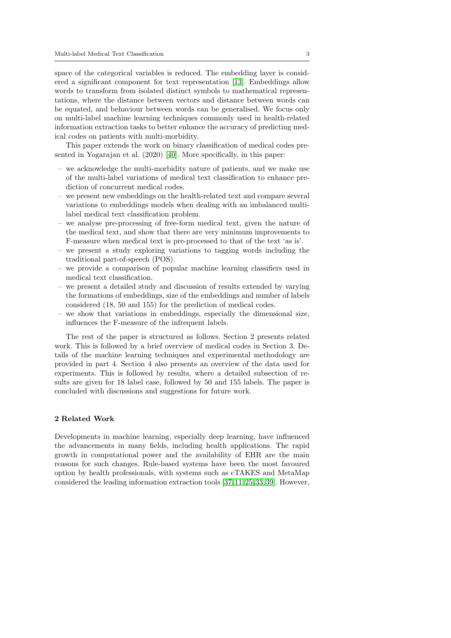space of the categorical variables is reduced. The embedding layer is considered a significant component for text representation [\[13\]](#page-24-2). Embeddings allow words to transform from isolated distinct symbols to mathematical representations, where the distance between vectors and distance between words can be equated, and behaviour between words can be generalised. We focus only on multi-label machine learning techniques commonly used in health-related information extraction tasks to better enhance the accuracy of predicting medical codes on patients with multi-morbidity.

This paper extends the work on binary classification of medical codes presented in Yogarajan et al. (2020) [\[40\]](#page-25-2). More specifically, in this paper:

- we acknowledge the multi-morbidity nature of patients, and we make use of the multi-label variations of medical text classification to enhance prediction of concurrent medical codes.
- we present new embeddings on the health-related text and compare several variations to embeddings models when dealing with an imbalanced multilabel medical text classification problem.
- we analyse pre-processing of free-form medical text, given the nature of the medical text, and show that there are very minimum improvements to F-measure when medical text is pre-processed to that of the text 'as is'.
- we present a study exploring variations to tagging words including the traditional part-of-speech (POS).
- we provide a comparison of popular machine learning classifiers used in medical text classification.
- we present a detailed study and discussion of results extended by varying the formations of embeddings, size of the embeddings and number of labels considered (18, 50 and 155) for the prediction of medical codes.
- we show that variations in embeddings, especially the dimensional size, influences the F-measure of the infrequent labels.

The rest of the paper is structured as follows. Section 2 presents related work. This is followed by a brief overview of medical codes in Section 3. Details of the machine learning techniques and experimental methodology are provided in part 4. Section 4 also presents an overview of the data used for experiments. This is followed by results, where a detailed subsection of results are given for 18 label case, followed by 50 and 155 labels. The paper is concluded with discussions and suggestions for future work.

## <span id="page-2-0"></span>2 Related Work

Developments in machine learning, especially deep learning, have influenced the advancements in many fields, including health applications. The rapid growth in computational power and the availability of EHR are the main reasons for such changes. Rule-based systems have been the most favoured option by health professionals, with systems such as cTAKES and MetaMap considered the leading information extraction tools [\[37,](#page-25-3) [11,](#page-24-3) [25,](#page-24-4) [33,](#page-25-4) [39\]](#page-25-5). However,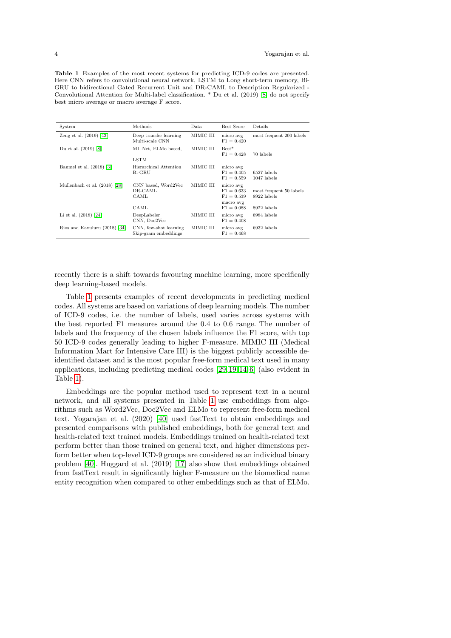<span id="page-3-0"></span>Table 1 Examples of the most recent systems for predicting ICD-9 codes are presented. Here CNN refers to convolutional neural network, LSTM to Long short-term memory, Bi-GRU to bidirectional Gated Recurrent Unit and DR-CAML to Description Regularized - Convolutional Attention for Multi-label classification. \* Du et al. (2019) [\[8\]](#page-23-2) do not specify best micro average or macro average F score.

| System                        | Methods                                        | Data      | Best Score                                                             | Details                                               |
|-------------------------------|------------------------------------------------|-----------|------------------------------------------------------------------------|-------------------------------------------------------|
| Zeng et al. $(2019)$ [42]     | Deep transfer learning<br>Multi-scale CNN      | MIMIC III | micro avg<br>$F1 = 0.420$                                              | most frequent 200 labels                              |
| Du et al. (2019) [8]          | ML-Net, ELMo based,<br>LSTM                    | MIMIC III | $Best*$<br>$F1 = 0.428$                                                | 70 labels                                             |
| Baumel et al. (2018) [3]      | Hierarchical Attention<br>Bi-GRU               | MIMIC III | micro avg<br>$F1 = 0.405$<br>$F1 = 0.559$                              | 6527 labels<br>$1047$ labels                          |
| Mullenbach et al. (2018) [28] | CNN based, Word2Vec<br>DR-CAML<br>CAML<br>CAML | MIMIC III | micro avg<br>$F1 = 0.633$<br>$F1 = 0.539$<br>macro avg<br>$F1 = 0.088$ | most frequent 50 labels<br>8922 labels<br>8922 labels |
| Li et al. (2018) [24]         | DeepLabeler<br>CNN, Doc2Vec                    | MIMIC III | micro avg<br>$F1 = 0.408$                                              | 6984 labels                                           |
| Rios and Kavuluru (2018) [34] | CNN, few-shot learning<br>Skip-gram embeddings | MIMIC III | micro avg<br>$F1 = 0.468$                                              | 6932 labels                                           |

recently there is a shift towards favouring machine learning, more specifically deep learning-based models.

Table [1](#page-3-0) presents examples of recent developments in predicting medical codes. All systems are based on variations of deep learning models. The number of ICD-9 codes, i.e. the number of labels, used varies across systems with the best reported F1 measures around the 0.4 to 0.6 range. The number of labels and the frequency of the chosen labels influence the F1 score, with top 50 ICD-9 codes generally leading to higher F-measure. MIMIC III (Medical Information Mart for Intensive Care III) is the biggest publicly accessible deidentified dataset and is the most popular free-form medical text used in many applications, including predicting medical codes [\[29,](#page-24-7) [19,](#page-24-8) [14,](#page-24-9) [6\]](#page-23-4) (also evident in Table [1\)](#page-3-0).

Embeddings are the popular method used to represent text in a neural network, and all systems presented in Table [1](#page-3-0) use embeddings from algorithms such as Word2Vec, Doc2Vec and ELMo to represent free-form medical text. Yogarajan et al. (2020) [\[40\]](#page-25-2) used fastText to obtain embeddings and presented comparisons with published embeddings, both for general text and health-related text trained models. Embeddings trained on health-related text perform better than those trained on general text, and higher dimensions perform better when top-level ICD-9 groups are considered as an individual binary problem [\[40\]](#page-25-2). Huggard et al. (2019) [\[17\]](#page-24-10) also show that embeddings obtained from fastText result in significantly higher F-measure on the biomedical name entity recognition when compared to other embeddings such as that of ELMo.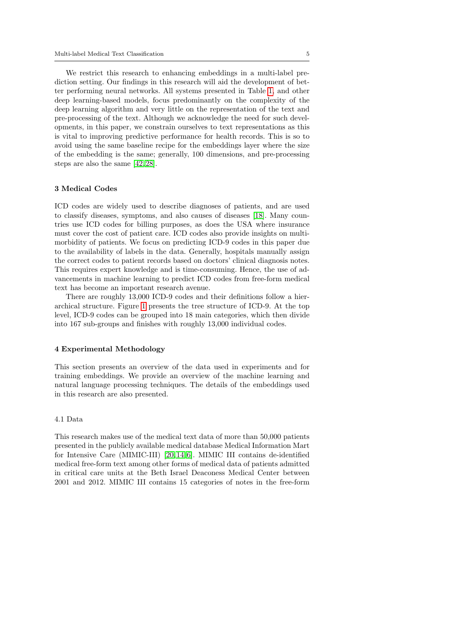We restrict this research to enhancing embeddings in a multi-label prediction setting. Our findings in this research will aid the development of better performing neural networks. All systems presented in Table [1,](#page-3-0) and other deep learning-based models, focus predominantly on the complexity of the deep learning algorithm and very little on the representation of the text and pre-processing of the text. Although we acknowledge the need for such developments, in this paper, we constrain ourselves to text representations as this is vital to improving predictive performance for health records. This is so to avoid using the same baseline recipe for the embeddings layer where the size of the embedding is the same; generally, 100 dimensions, and pre-processing steps are also the same [\[42,](#page-25-6) [28\]](#page-24-5).

## 3 Medical Codes

ICD codes are widely used to describe diagnoses of patients, and are used to classify diseases, symptoms, and also causes of diseases [\[18\]](#page-24-11). Many countries use ICD codes for billing purposes, as does the USA where insurance must cover the cost of patient care. ICD codes also provide insights on multimorbidity of patients. We focus on predicting ICD-9 codes in this paper due to the availability of labels in the data. Generally, hospitals manually assign the correct codes to patient records based on doctors' clinical diagnosis notes. This requires expert knowledge and is time-consuming. Hence, the use of advancements in machine learning to predict ICD codes from free-form medical text has become an important research avenue.

There are roughly 13,000 ICD-9 codes and their definitions follow a hierarchical structure. Figure [1](#page-5-0) presents the tree structure of ICD-9. At the top level, ICD-9 codes can be grouped into 18 main categories, which then divide into 167 sub-groups and finishes with roughly 13,000 individual codes.

#### <span id="page-4-0"></span>4 Experimental Methodology

This section presents an overview of the data used in experiments and for training embeddings. We provide an overview of the machine learning and natural language processing techniques. The details of the embeddings used in this research are also presented.

# 4.1 Data

This research makes use of the medical text data of more than 50,000 patients presented in the publicly available medical database Medical Information Mart for Intensive Care (MIMIC-III) [\[20,](#page-24-12) [14,](#page-24-9) [6\]](#page-23-4). MIMIC III contains de-identified medical free-form text among other forms of medical data of patients admitted in critical care units at the Beth Israel Deaconess Medical Center between 2001 and 2012. MIMIC III contains 15 categories of notes in the free-form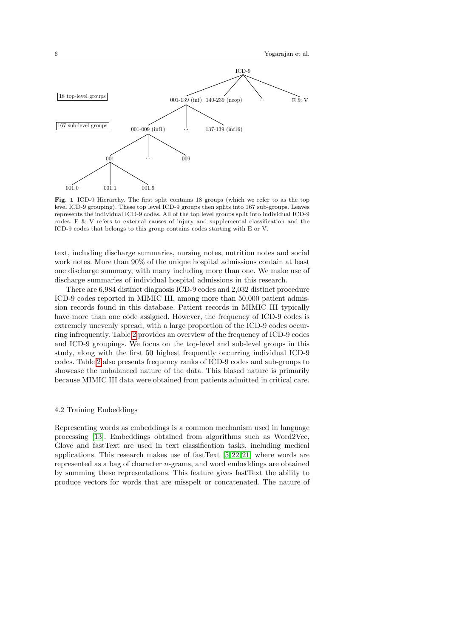

<span id="page-5-0"></span>Fig. 1 ICD-9 Hierarchy. The first split contains 18 groups (which we refer to as the top level ICD-9 grouping). These top level ICD-9 groups then splits into 167 sub-groups. Leaves represents the individual ICD-9 codes. All of the top level groups split into individual ICD-9 codes. E & V refers to external causes of injury and supplemental classification and the ICD-9 codes that belongs to this group contains codes starting with E or V.

text, including discharge summaries, nursing notes, nutrition notes and social work notes. More than 90% of the unique hospital admissions contain at least one discharge summary, with many including more than one. We make use of discharge summaries of individual hospital admissions in this research.

There are 6,984 distinct diagnosis ICD-9 codes and 2,032 distinct procedure ICD-9 codes reported in MIMIC III, among more than 50,000 patient admission records found in this database. Patient records in MIMIC III typically have more than one code assigned. However, the frequency of ICD-9 codes is extremely unevenly spread, with a large proportion of the ICD-9 codes occurring infrequently. Table [2](#page-6-0) provides an overview of the frequency of ICD-9 codes and ICD-9 groupings. We focus on the top-level and sub-level groups in this study, along with the first 50 highest frequently occurring individual ICD-9 codes. Table [2](#page-6-0) also presents frequency ranks of ICD-9 codes and sub-groups to showcase the unbalanced nature of the data. This biased nature is primarily because MIMIC III data were obtained from patients admitted in critical care.

### <span id="page-5-1"></span>4.2 Training Embeddings

Representing words as embeddings is a common mechanism used in language processing [\[13\]](#page-24-2). Embeddings obtained from algorithms such as Word2Vec, Glove and fastText are used in text classification tasks, including medical applications. This research makes use of fastText [\[5,](#page-23-5) [22,](#page-24-13) [21\]](#page-24-14) where words are represented as a bag of character n-grams, and word embeddings are obtained by summing these representations. This feature gives fastText the ability to produce vectors for words that are misspelt or concatenated. The nature of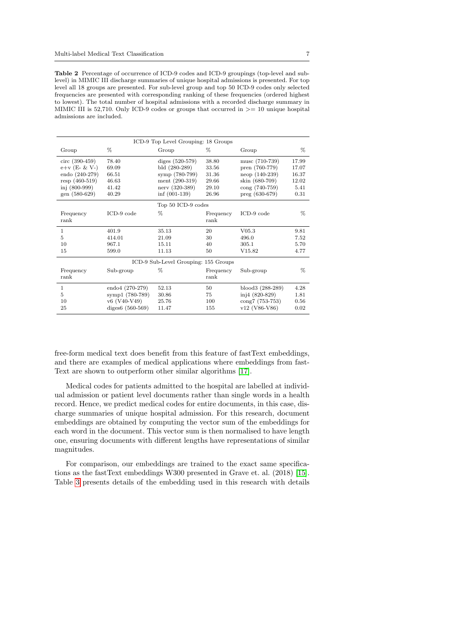<span id="page-6-0"></span>Table 2 Percentage of occurrence of ICD-9 codes and ICD-9 groupings (top-level and sublevel) in MIMIC III discharge summaries of unique hospital admissions is presented. For top level all 18 groups are presented. For sub-level group and top 50 ICD-9 codes only selected frequencies are presented with corresponding ranking of these frequencies (ordered highest to lowest). The total number of hospital admissions with a recorded discharge summary in MIMIC III is 52,710. Only ICD-9 codes or groups that occurred in  $\geq$  = 10 unique hospital admissions are included.

|                   | ICD-9 Top Level Grouping: 18 Groups |                                      |                   |                         |       |  |
|-------------------|-------------------------------------|--------------------------------------|-------------------|-------------------------|-------|--|
| Group             | %                                   | Group                                | %                 | Group                   | %     |  |
| $circ (390-459)$  | 78.40                               | diges $(520-579)$                    | 38.80             | musc (710-739)          | 17.99 |  |
| $e+v$ (E- & V-)   | 69.09                               | bld (280-289)                        | 33.56             | pren (760-779)          | 17.07 |  |
| endo (240-279)    | 66.51                               | symp (780-799)                       | 31.36             | $neop(140-239)$         | 16.37 |  |
| resp $(460-519)$  | 46.63                               | ment $(290-319)$                     | 29.66             | skin (680-709)          | 12.02 |  |
| inj $(800-999)$   | 41.42                               | nerv (320-389)                       | 29.10             | $\text{cong} (740-759)$ | 5.41  |  |
| gen (580-629)     | 40.29                               | $\inf (001-139)$                     | 26.96             | $preg (630-679)$        | 0.31  |  |
|                   |                                     | Top 50 ICD-9 codes                   |                   |                         |       |  |
| Frequency<br>rank | $ICD-9$ code                        | $\%$                                 | Frequency<br>rank | $\text{ICD-9 code}$     | $\%$  |  |
| 1                 | 401.9                               | 35.13                                | 20                | V05.3                   | 9.81  |  |
| 5                 | 414.01                              | 21.09                                | 30                | 496.0                   | 7.52  |  |
| 10                | 967.1                               | 15.11                                | 40                | 305.1                   | 5.70  |  |
| 15                | 599.0                               | 11.13                                | 50                | V15.82                  | 4.77  |  |
|                   |                                     | ICD-9 Sub-Level Grouping: 155 Groups |                   |                         |       |  |
| Frequency<br>rank | Sub-group                           | $\%$                                 | Frequency<br>rank | Sub-group               | $\%$  |  |
| $\mathbf{1}$      | $endo4 (270-279)$                   | 52.13                                | 50                | blood3 (288-289)        | 4.28  |  |
| 5                 | symp1 (780-789)                     | 30.86                                | 75                | inj $4(820-829)$        | 1.81  |  |
| 10                | v6 (V40-V49)                        | 25.76                                | 100               | cong7 (753-753)         | 0.56  |  |
| 25                | diges6 (560-569)                    | 11.47                                | 155               | $v12$ (V86-V86)         | 0.02  |  |

free-form medical text does benefit from this feature of fastText embeddings, and there are examples of medical applications where embeddings from fast-Text are shown to outperform other similar algorithms [\[17\]](#page-24-10).

Medical codes for patients admitted to the hospital are labelled at individual admission or patient level documents rather than single words in a health record. Hence, we predict medical codes for entire documents, in this case, discharge summaries of unique hospital admission. For this research, document embeddings are obtained by computing the vector sum of the embeddings for each word in the document. This vector sum is then normalised to have length one, ensuring documents with different lengths have representations of similar magnitudes.

For comparison, our embeddings are trained to the exact same specifications as the fastText embeddings W300 presented in Grave et. al. (2018) [\[15\]](#page-24-15). Table [3](#page-7-0) presents details of the embedding used in this research with details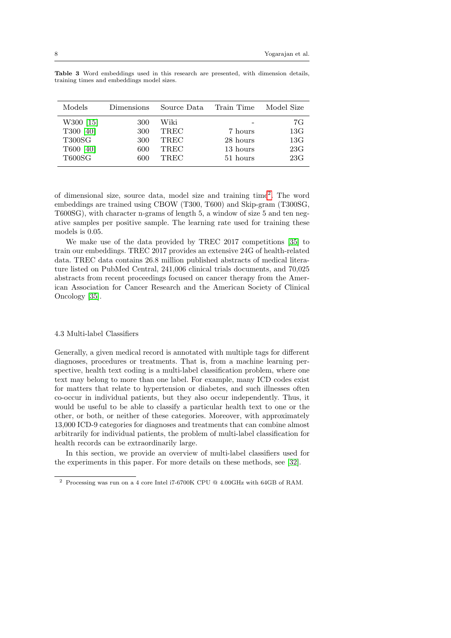| Models        | Dimensions | Source Data Train Time |          | Model Size |
|---------------|------------|------------------------|----------|------------|
| W300 [15]     | 300        | Wiki                   |          | 7G         |
| T300 [40]     | 300        | TREC                   | 7 hours  | 13G        |
| <b>T300SG</b> | 300        | TREC                   | 28 hours | 13G        |
| T600 [40]     | 600        | TREC                   | 13 hours | 23G        |
| <b>T600SG</b> | 600        | TREC                   | 51 hours | 23G        |

<span id="page-7-0"></span>Table 3 Word embeddings used in this research are presented, with dimension details, training times and embeddings model sizes.

of dimensional size, source data, model size and training time[2](#page-7-1) . The word embeddings are trained using CBOW (T300, T600) and Skip-gram (T300SG, T600SG), with character n-grams of length 5, a window of size 5 and ten negative samples per positive sample. The learning rate used for training these models is 0.05.

We make use of the data provided by TREC 2017 competitions [\[35\]](#page-25-8) to train our embeddings. TREC 2017 provides an extensive 24G of health-related data. TREC data contains 26.8 million published abstracts of medical literature listed on PubMed Central, 241,006 clinical trials documents, and 70,025 abstracts from recent proceedings focused on cancer therapy from the American Association for Cancer Research and the American Society of Clinical Oncology [\[35\]](#page-25-8).

#### 4.3 Multi-label Classifiers

Generally, a given medical record is annotated with multiple tags for different diagnoses, procedures or treatments. That is, from a machine learning perspective, health text coding is a multi-label classification problem, where one text may belong to more than one label. For example, many ICD codes exist for matters that relate to hypertension or diabetes, and such illnesses often co-occur in individual patients, but they also occur independently. Thus, it would be useful to be able to classify a particular health text to one or the other, or both, or neither of these categories. Moreover, with approximately 13,000 ICD-9 categories for diagnoses and treatments that can combine almost arbitrarily for individual patients, the problem of multi-label classification for health records can be extraordinarily large.

In this section, we provide an overview of multi-label classifiers used for the experiments in this paper. For more details on these methods, see [\[32\]](#page-25-9).

<span id="page-7-1"></span> $^2$  Processing was run on a 4 core Intel i7-6700K CPU  $\textcircled{a}$  4.00GHz with 64GB of RAM.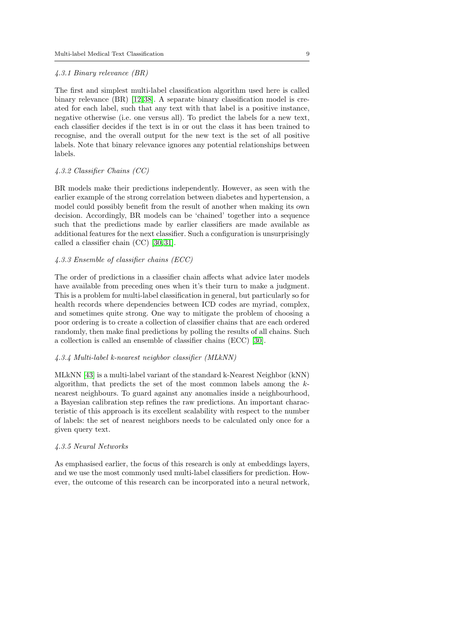### 4.3.1 Binary relevance (BR)

The first and simplest multi-label classification algorithm used here is called binary relevance (BR) [\[12,](#page-24-16) [38\]](#page-25-10). A separate binary classification model is created for each label, such that any text with that label is a positive instance, negative otherwise (i.e. one versus all). To predict the labels for a new text, each classifier decides if the text is in or out the class it has been trained to recognise, and the overall output for the new text is the set of all positive labels. Note that binary relevance ignores any potential relationships between labels.

# 4.3.2 Classifier Chains (CC)

BR models make their predictions independently. However, as seen with the earlier example of the strong correlation between diabetes and hypertension, a model could possibly benefit from the result of another when making its own decision. Accordingly, BR models can be 'chained' together into a sequence such that the predictions made by earlier classifiers are made available as additional features for the next classifier. Such a configuration is unsurprisingly called a classifier chain (CC) [\[30,](#page-24-17) [31\]](#page-24-18).

### 4.3.3 Ensemble of classifier chains (ECC)

The order of predictions in a classifier chain affects what advice later models have available from preceding ones when it's their turn to make a judgment. This is a problem for multi-label classification in general, but particularly so for health records where dependencies between ICD codes are myriad, complex, and sometimes quite strong. One way to mitigate the problem of choosing a poor ordering is to create a collection of classifier chains that are each ordered randomly, then make final predictions by polling the results of all chains. Such a collection is called an ensemble of classifier chains (ECC) [\[30\]](#page-24-17).

## 4.3.4 Multi-label k-nearest neighbor classifier (MLkNN)

MLkNN [\[43\]](#page-25-11) is a multi-label variant of the standard k-Nearest Neighbor (kNN) algorithm, that predicts the set of the most common labels among the knearest neighbours. To guard against any anomalies inside a neighbourhood, a Bayesian calibration step refines the raw predictions. An important characteristic of this approach is its excellent scalability with respect to the number of labels: the set of nearest neighbors needs to be calculated only once for a given query text.

## 4.3.5 Neural Networks

As emphasised earlier, the focus of this research is only at embeddings layers, and we use the most commonly used multi-label classifiers for prediction. However, the outcome of this research can be incorporated into a neural network,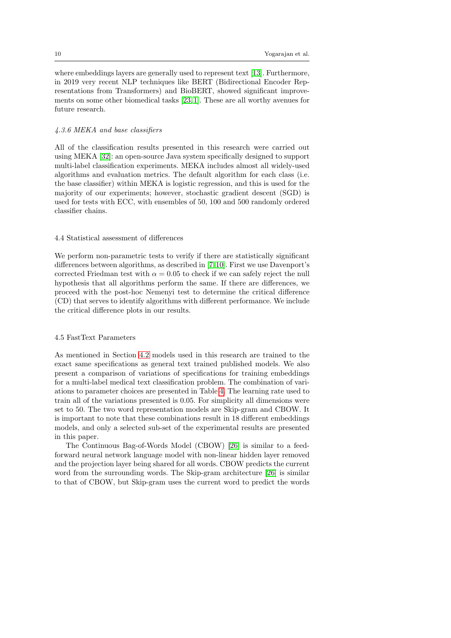where embeddings layers are generally used to represent text [\[13\]](#page-24-2). Furthermore, in 2019 very recent NLP techniques like BERT (Bidirectional Encoder Representations from Transformers) and BioBERT, showed significant improvements on some other biomedical tasks [\[23,](#page-24-19) [1\]](#page-23-6). These are all worthy avenues for future research.

### 4.3.6 MEKA and base classifiers

All of the classification results presented in this research were carried out using MEKA [\[32\]](#page-25-9): an open-source Java system specifically designed to support multi-label classification experiments. MEKA includes almost all widely-used algorithms and evaluation metrics. The default algorithm for each class (i.e. the base classifier) within MEKA is logistic regression, and this is used for the majority of our experiments; however, stochastic gradient descent (SGD) is used for tests with ECC, with ensembles of 50, 100 and 500 randomly ordered classifier chains.

### 4.4 Statistical assessment of differences

We perform non-parametric tests to verify if there are statistically significant differences between algorithms, as described in [\[7,](#page-23-7) [10\]](#page-23-8). First we use Davenport's corrected Friedman test with  $\alpha = 0.05$  to check if we can safely reject the null hypothesis that all algorithms perform the same. If there are differences, we proceed with the post-hoc Nemenyi test to determine the critical difference (CD) that serves to identify algorithms with different performance. We include the critical difference plots in our results.

#### <span id="page-9-0"></span>4.5 FastText Parameters

As mentioned in Section [4.2](#page-5-1) models used in this research are trained to the exact same specifications as general text trained published models. We also present a comparison of variations of specifications for training embeddings for a multi-label medical text classification problem. The combination of variations to parameter choices are presented in Table [4.](#page-10-0) The learning rate used to train all of the variations presented is 0.05. For simplicity all dimensions were set to 50. The two word representation models are Skip-gram and CBOW. It is important to note that these combinations result in 18 different embeddings models, and only a selected sub-set of the experimental results are presented in this paper.

The Continuous Bag-of-Words Model (CBOW) [\[26\]](#page-24-20) is similar to a feedforward neural network language model with non-linear hidden layer removed and the projection layer being shared for all words. CBOW predicts the current word from the surrounding words. The Skip-gram architecture [\[26\]](#page-24-20) is similar to that of CBOW, but Skip-gram uses the current word to predict the words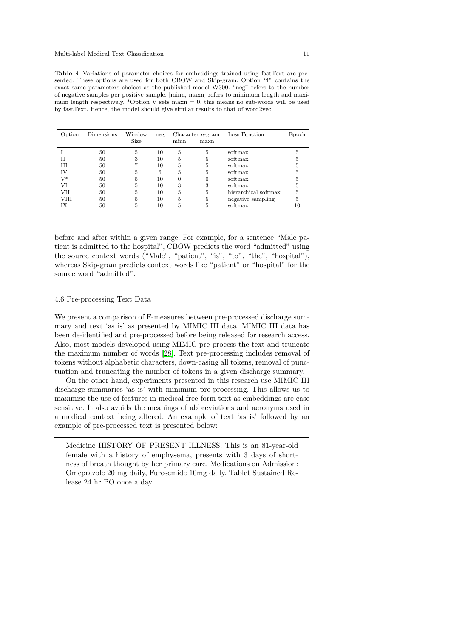<span id="page-10-0"></span>Table 4 Variations of parameter choices for embeddings trained using fastText are presented. These options are used for both CBOW and Skip-gram. Option "I" contains the exact same parameters choices as the published model W300. "neg" refers to the number of negative samples per positive sample. [minn, maxn] refers to minimum length and maximum length respectively. \*Option V sets maxn  $= 0$ , this means no sub-words will be used by fastText. Hence, the model should give similar results to that of word2vec.

| Option | Dimensions | Window<br>Size | neg | minn | Character $n$ -gram<br>maxn | Loss Function        | Epoch |
|--------|------------|----------------|-----|------|-----------------------------|----------------------|-------|
|        | 50         | 5              | 10  | 5    | 5                           | softmax              |       |
|        | 50         | 3              | 10  | .,   | 5                           | softmax              |       |
| Ш      | 50         |                | 10  | .,   | 5                           | softmax              |       |
| ΙV     | 50         | .,             | 5   | .,   | 5                           | softmax              |       |
| V*     | 50         | h              | 10  |      |                             | softmax              |       |
| VI     | 50         | h              | 10  | 3    | 3                           | softmax              |       |
| VH     | 50         | h              | 10  | .,   | 5                           | hierarchical softmax |       |
| VHI    | 50         | h              | 10  | ð    | 5                           | negative sampling    |       |
|        | 50         |                | 10  | ð    |                             | softmax              |       |

before and after within a given range. For example, for a sentence "Male patient is admitted to the hospital", CBOW predicts the word "admitted" using the source context words ("Male", "patient", "is", "to", "the", "hospital"), whereas Skip-gram predicts context words like "patient" or "hospital" for the source word "admitted".

#### <span id="page-10-1"></span>4.6 Pre-processing Text Data

We present a comparison of F-measures between pre-processed discharge summary and text 'as is' as presented by MIMIC III data. MIMIC III data has been de-identified and pre-processed before being released for research access. Also, most models developed using MIMIC pre-process the text and truncate the maximum number of words [\[28\]](#page-24-5). Text pre-processing includes removal of tokens without alphabetic characters, down-casing all tokens, removal of punctuation and truncating the number of tokens in a given discharge summary.

On the other hand, experiments presented in this research use MIMIC III discharge summaries 'as is' with minimum pre-processing. This allows us to maximise the use of features in medical free-form text as embeddings are case sensitive. It also avoids the meanings of abbreviations and acronyms used in a medical context being altered. An example of text 'as is' followed by an example of pre-processed text is presented below:

Medicine HISTORY OF PRESENT ILLNESS: This is an 81-year-old female with a history of emphysema, presents with 3 days of shortness of breath thought by her primary care. Medications on Admission: Omeprazole 20 mg daily, Furosemide 10mg daily. Tablet Sustained Release 24 hr PO once a day.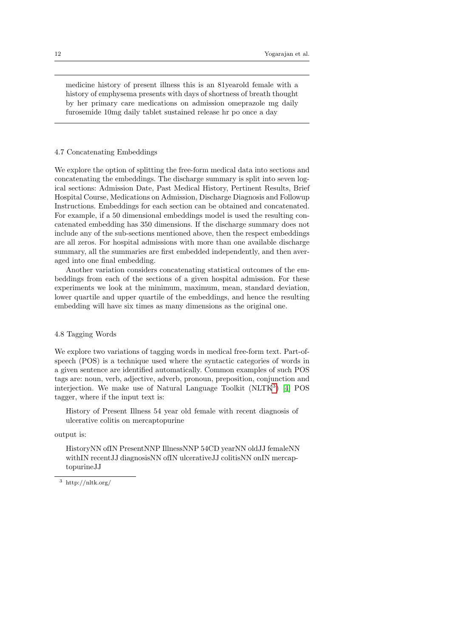medicine history of present illness this is an 81yearold female with a history of emphysema presents with days of shortness of breath thought by her primary care medications on admission omeprazole mg daily furosemide 10mg daily tablet sustained release hr po once a day

#### <span id="page-11-1"></span>4.7 Concatenating Embeddings

We explore the option of splitting the free-form medical data into sections and concatenating the embeddings. The discharge summary is split into seven logical sections: Admission Date, Past Medical History, Pertinent Results, Brief Hospital Course, Medications on Admission, Discharge Diagnosis and Followup Instructions. Embeddings for each section can be obtained and concatenated. For example, if a 50 dimensional embeddings model is used the resulting concatenated embedding has 350 dimensions. If the discharge summary does not include any of the sub-sections mentioned above, then the respect embeddings are all zeros. For hospital admissions with more than one available discharge summary, all the summaries are first embedded independently, and then averaged into one final embedding.

Another variation considers concatenating statistical outcomes of the embeddings from each of the sections of a given hospital admission. For these experiments we look at the minimum, maximum, mean, standard deviation, lower quartile and upper quartile of the embeddings, and hence the resulting embedding will have six times as many dimensions as the original one.

## 4.8 Tagging Words

We explore two variations of tagging words in medical free-form text. Part-ofspeech (POS) is a technique used where the syntactic categories of words in a given sentence are identified automatically. Common examples of such POS tags are: noun, verb, adjective, adverb, pronoun, preposition, conjunction and interjection. We make use of Natural Language Toolkit (NLTK<sup>[3](#page-11-0)</sup>) [\[4\]](#page-23-9) POS tagger, where if the input text is:

History of Present Illness 54 year old female with recent diagnosis of ulcerative colitis on mercaptopurine

#### output is:

HistoryNN ofIN PresentNNP IllnessNNP 54CD yearNN oldJJ femaleNN withIN recentJJ diagnosisNN ofIN ulcerativeJJ colitisNN onIN mercaptopurineJJ

<span id="page-11-0"></span> $^3\,$ http://nltk.org/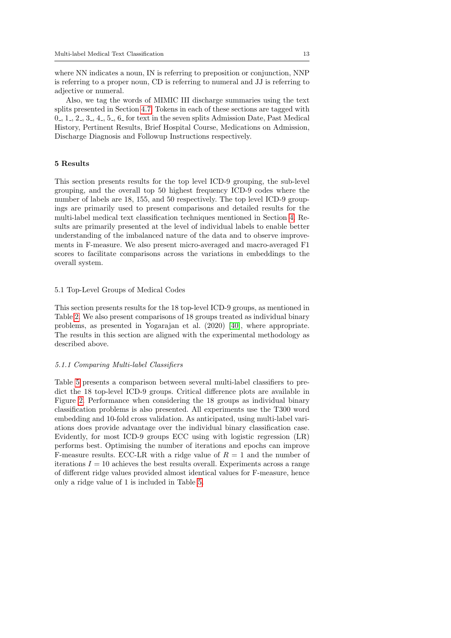where NN indicates a noun, IN is referring to preposition or conjunction, NNP is referring to a proper noun, CD is referring to numeral and JJ is referring to adjective or numeral.

Also, we tag the words of MIMIC III discharge summaries using the text splits presented in Section [4.7.](#page-11-1) Tokens in each of these sections are tagged with  $0, 1, 2, 3, 4, 5, 6$  for text in the seven splits Admission Date, Past Medical History, Pertinent Results, Brief Hospital Course, Medications on Admission, Discharge Diagnosis and Followup Instructions respectively.

## 5 Results

This section presents results for the top level ICD-9 grouping, the sub-level grouping, and the overall top 50 highest frequency ICD-9 codes where the number of labels are 18, 155, and 50 respectively. The top level ICD-9 groupings are primarily used to present comparisons and detailed results for the multi-label medical text classification techniques mentioned in Section [4.](#page-4-0) Results are primarily presented at the level of individual labels to enable better understanding of the imbalanced nature of the data and to observe improvements in F-measure. We also present micro-averaged and macro-averaged F1 scores to facilitate comparisons across the variations in embeddings to the overall system.

#### <span id="page-12-0"></span>5.1 Top-Level Groups of Medical Codes

This section presents results for the 18 top-level ICD-9 groups, as mentioned in Table [2.](#page-6-0) We also present comparisons of 18 groups treated as individual binary problems, as presented in Yogarajan et al. (2020) [\[40\]](#page-25-2), where appropriate. The results in this section are aligned with the experimental methodology as described above.

#### 5.1.1 Comparing Multi-label Classifiers

Table [5](#page-13-0) presents a comparison between several multi-label classifiers to predict the 18 top-level ICD-9 groups. Critical difference plots are available in Figure [2.](#page-13-1) Performance when considering the 18 groups as individual binary classification problems is also presented. All experiments use the T300 word embedding and 10-fold cross validation. As anticipated, using multi-label variations does provide advantage over the individual binary classification case. Evidently, for most ICD-9 groups ECC using with logistic regression (LR) performs best. Optimising the number of iterations and epochs can improve F-measure results. ECC-LR with a ridge value of  $R = 1$  and the number of iterations  $I = 10$  achieves the best results overall. Experiments across a range of different ridge values provided almost identical values for F-measure, hence only a ridge value of 1 is included in Table [5.](#page-13-0)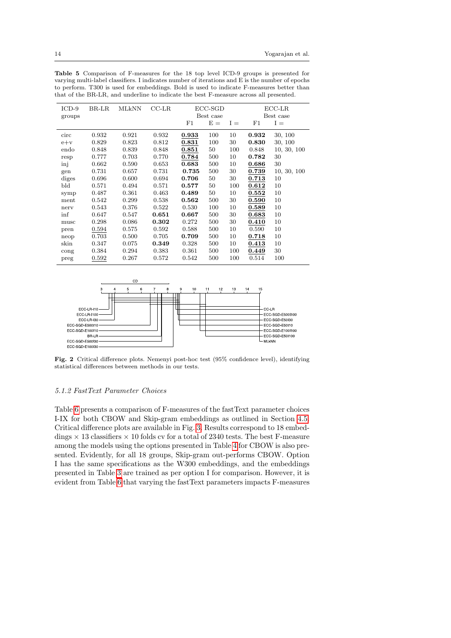| $ICD-9$ | BR-LR | MLkNN | $_{\rm CC\text{-}LR}$ | ECC-SGD |           |       |       | $_{\text{ECC-LR}}$ |
|---------|-------|-------|-----------------------|---------|-----------|-------|-------|--------------------|
| groups  |       |       |                       |         | Best case |       |       | Best case          |
|         |       |       |                       | F1      | $E =$     | $I =$ | F1    | $I =$              |
|         |       |       |                       |         |           |       |       |                    |
| circ    | 0.932 | 0.921 | 0.932                 | 0.933   | 100       | 10    | 0.932 | 30, 100            |
| $e+v$   | 0.829 | 0.823 | 0.812                 | 0.831   | 100       | 30    | 0.830 | 30, 100            |
| endo    | 0.848 | 0.839 | 0.848                 | 0.851   | 50        | 100   | 0.848 | 10, 30, 100        |
| resp    | 0.777 | 0.703 | 0.770                 | 0.784   | 500       | 10    | 0.782 | 30                 |
| inj     | 0.662 | 0.590 | 0.653                 | 0.683   | 500       | 10    | 0.686 | 30                 |
| gen     | 0.731 | 0.657 | 0.731                 | 0.735   | 500       | 30    | 0.739 | 10, 30, 100        |
| diges   | 0.696 | 0.600 | 0.694                 | 0.706   | 50        | 30    | 0.713 | 10                 |
| bld     | 0.571 | 0.494 | 0.571                 | 0.577   | 50        | 100   | 0.612 | 10                 |
| symp    | 0.487 | 0.361 | 0.463                 | 0.489   | 50        | 10    | 0.552 | 10                 |
| ment    | 0.542 | 0.299 | 0.538                 | 0.562   | 500       | 30    | 0.590 | 10                 |
| nerv    | 0.543 | 0.376 | 0.522                 | 0.530   | 100       | 10    | 0.589 | 10                 |
| inf     | 0.647 | 0.547 | 0.651                 | 0.667   | 500       | 30    | 0.683 | 10                 |
| musc    | 0.298 | 0.086 | 0.302                 | 0.272   | 500       | 30    | 0.410 | 10                 |
| pren    | 0.594 | 0.575 | 0.592                 | 0.588   | 500       | 10    | 0.590 | 10                 |
| neop    | 0.703 | 0.500 | 0.705                 | 0.709   | 500       | 10    | 0.718 | 10                 |
| skin    | 0.347 | 0.075 | 0.349                 | 0.328   | 500       | 10    | 0.413 | 10                 |
| cong    | 0.384 | 0.294 | 0.383                 | 0.361   | 500       | 100   | 0.449 | 30                 |
| preg    | 0.592 | 0.267 | 0.572                 | 0.542   | 500       | 100   | 0.514 | 100                |
|         |       |       |                       |         |           |       |       |                    |

<span id="page-13-0"></span>Table 5 Comparison of F-measures for the 18 top level ICD-9 groups is presented for varying multi-label classifiers. I indicates number of iterations and E is the number of epochs to perform. T300 is used for embeddings. Bold is used to indicate F-measures better than that of the BR-LR, and underline to indicate the best F-measure across all presented.



<span id="page-13-1"></span>Fig. 2 Critical difference plots. Nemenyi post-hoc test (95% confidence level), identifying statistical differences between methods in our tests.

#### <span id="page-13-2"></span>5.1.2 FastText Parameter Choices

Table [6](#page-14-0) presents a comparison of F-measures of the fastText parameter choices I-IX for both CBOW and Skip-gram embeddings as outlined in Section [4.5.](#page-9-0) Critical difference plots are available in Fig. [3.](#page-14-1) Results correspond to 18 embeddings  $\times$  13 classifiers  $\times$  10 folds cv for a total of 2340 tests. The best F-measure among the models using the options presented in Table [4](#page-10-0) for CBOW is also presented. Evidently, for all 18 groups, Skip-gram out-performs CBOW. Option I has the same specifications as the W300 embeddings, and the embeddings presented in Table [3](#page-7-0) are trained as per option I for comparison. However, it is evident from Table [6](#page-14-0) that varying the fastText parameters impacts F-measures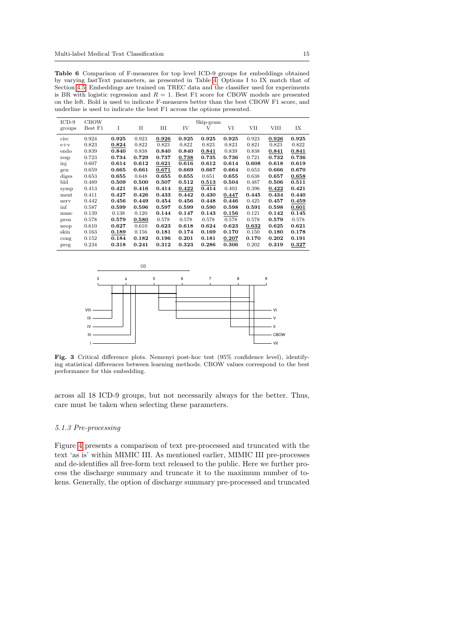<span id="page-14-0"></span>Table 6 Comparison of F-measures for top level ICD-9 groups for embeddings obtained by varying fastText parameters, as presented in Table [4.](#page-10-0) Options I to IX match that of Section [4.5.](#page-9-0) Embeddings are trained on TREC data and the classifier used for experiments is BR with logistic regression and  $R = 1$ . Best F1 score for CBOW models are presented on the left. Bold is used to indicate F-measures better than the best CBOW F1 score, and underline is used to indicate the best F1 across the options presented.

| $ICD-9$ | <b>CBOW</b> |       |             |       |       | Skip-gram |       |       |       |       |
|---------|-------------|-------|-------------|-------|-------|-----------|-------|-------|-------|-------|
| groups  | Best F1     | I     | $_{\rm II}$ | Ш     | IV    | V         | VI    | VII   | VIII  | IX    |
| circ    | 0.924       | 0.925 | 0.923       | 0.926 | 0.925 | 0.925     | 0.925 | 0.923 | 0.926 | 0.925 |
| $e+v$   | 0.823       | 0.824 | 0.822       | 0.823 | 0.822 | 0.823     | 0.823 | 0.821 | 0.823 | 0.822 |
| endo    | 0.839       | 0.840 | 0.838       | 0.840 | 0.840 | 0.841     | 0.839 | 0.838 | 0.841 | 0.841 |
| resp    | 0.723       | 0.734 | 0.729       | 0.737 | 0.738 | 0.735     | 0.736 | 0.721 | 0.732 | 0.736 |
| inj     | 0.607       | 0.614 | 0.612       | 0.621 | 0.616 | 0.612     | 0.614 | 0.608 | 0.618 | 0.619 |
| gen     | 0.659       | 0.665 | 0.661       | 0.671 | 0.669 | 0.667     | 0.664 | 0.653 | 0.666 | 0.670 |
| diges   | 0.653       | 0.655 | 0.648       | 0.655 | 0.655 | 0.651     | 0.655 | 0.638 | 0.657 | 0.658 |
| Ыd      | 0.489       | 0.509 | 0.500       | 0.507 | 0.512 | 0.513     | 0.504 | 0.487 | 0.506 | 0.511 |
| symp    | 0.413       | 0.421 | 0.416       | 0.414 | 0.422 | 0.414     | 0.403 | 0.396 | 0.422 | 0.421 |
| ment    | 0.411       | 0.427 | 0.426       | 0.433 | 0.442 | 0.430     | 0.447 | 0.445 | 0.434 | 0.440 |
| nerv    | 0.442       | 0.456 | 0.449       | 0.454 | 0.456 | 0.448     | 0.446 | 0.425 | 0.457 | 0.459 |
| inf     | 0.587       | 0.599 | 0.596       | 0.597 | 0.599 | 0.590     | 0.598 | 0.591 | 0.598 | 0.601 |
| musc    | 0.139       | 0.138 | 0.120       | 0.144 | 0.147 | 0.143     | 0.156 | 0.121 | 0.142 | 0.145 |
| pren    | 0.578       | 0.579 | 0.580       | 0.578 | 0.578 | 0.578     | 0.578 | 0.578 | 0.579 | 0.578 |
| neop    | 0.610       | 0.627 | 0.610       | 0.623 | 0.618 | 0.624     | 0.623 | 0.632 | 0.625 | 0.621 |
| skin    | 0.163       | 0.189 | 0.156       | 0.181 | 0.174 | 0.169     | 0.170 | 0.150 | 0.180 | 0.178 |
| cong    | 0.152       | 0.184 | 0.182       | 0.196 | 0.201 | 0.181     | 0.207 | 0.170 | 0.202 | 0.191 |
| preg    | 0.234       | 0.318 | 0.241       | 0.312 | 0.323 | 0.286     | 0.306 | 0.202 | 0.319 | 0.327 |



<span id="page-14-1"></span>Fig. 3 Critical difference plots. Nemenyi post-hoc test (95% confidence level), identifying statistical differences between learning methods. CBOW values correspond to the best performance for this embedding.

across all 18 ICD-9 groups, but not necessarily always for the better. Thus, care must be taken when selecting these parameters.

# 5.1.3 Pre-processing

Figure [4](#page-15-0) presents a comparison of text pre-processed and truncated with the text 'as is' within MIMIC III. As mentioned earlier, MIMIC III pre-processes and de-identifies all free-form text released to the public. Here we further process the discharge summary and truncate it to the maximum number of tokens. Generally, the option of discharge summary pre-processed and truncated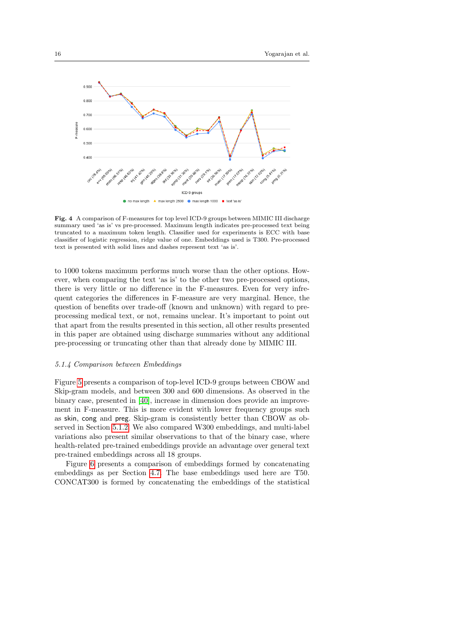

<span id="page-15-0"></span>Fig. 4 A comparison of F-measures for top level ICD-9 groups between MIMIC III discharge summary used 'as is' vs pre-processed. Maximum length indicates pre-processed text being truncated to a maximum token length. Classifier used for experiments is ECC with base classifier of logistic regression, ridge value of one. Embeddings used is T300. Pre-processed text is presented with solid lines and dashes represent text 'as is'.

to 1000 tokens maximum performs much worse than the other options. However, when comparing the text 'as is' to the other two pre-processed options, there is very little or no difference in the F-measures. Even for very infrequent categories the differences in F-measure are very marginal. Hence, the question of benefits over trade-off (known and unknown) with regard to preprocessing medical text, or not, remains unclear. It's important to point out that apart from the results presented in this section, all other results presented in this paper are obtained using discharge summaries without any additional pre-processing or truncating other than that already done by MIMIC III.

### 5.1.4 Comparison between Embeddings

Figure [5](#page-16-0) presents a comparison of top-level ICD-9 groups between CBOW and Skip-gram models, and between 300 and 600 dimensions. As observed in the binary case, presented in [\[40\]](#page-25-2), increase in dimension does provide an improvement in F-measure. This is more evident with lower frequency groups such as skin, cong and preg. Skip-gram is consistently better than CBOW as observed in Section [5.1.2.](#page-13-2) We also compared W300 embeddings, and multi-label variations also present similar observations to that of the binary case, where health-related pre-trained embeddings provide an advantage over general text pre-trained embeddings across all 18 groups.

Figure [6](#page-16-1) presents a comparison of embeddings formed by concatenating embeddings as per Section [4.7.](#page-11-1) The base embeddings used here are T50. CONCAT300 is formed by concatenating the embeddings of the statistical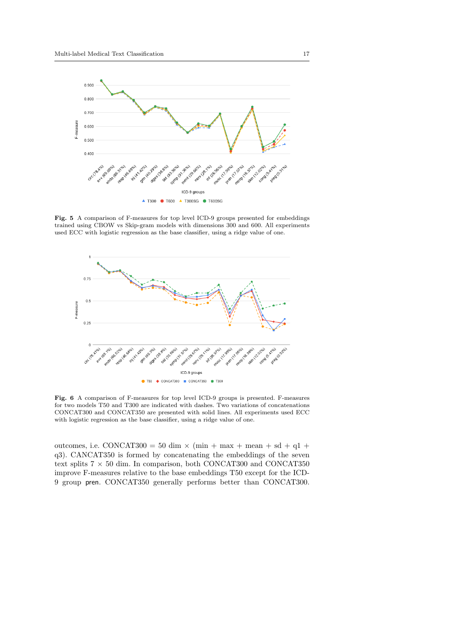

<span id="page-16-0"></span>Fig. 5 A comparison of F-measures for top level ICD-9 groups presented for embeddings trained using CBOW vs Skip-gram models with dimensions 300 and 600. All experiments used ECC with logistic regression as the base classifier, using a ridge value of one.



<span id="page-16-1"></span>Fig. 6 A comparison of F-measures for top level ICD-9 groups is presented. F-measures for two models T50 and T300 are indicated with dashes. Two variations of concatenations CONCAT300 and CONCAT350 are presented with solid lines. All experiments used ECC with logistic regression as the base classifier, using a ridge value of one.

outcomes, i.e. CONCAT300 = 50 dim  $\times$  (min + max + mean + sd + q1 + q3). CANCAT350 is formed by concatenating the embeddings of the seven text splits 7  $\times$  50 dim. In comparison, both CONCAT300 and CONCAT350 improve F-measures relative to the base embeddings T50 except for the ICD-9 group pren. CONCAT350 generally performs better than CONCAT300.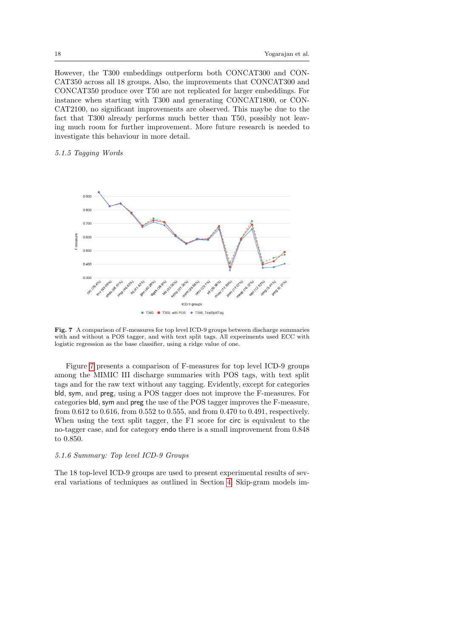However, the T300 embeddings outperform both CONCAT300 and CON-CAT350 across all 18 groups. Also, the improvements that CONCAT300 and CONCAT350 produce over T50 are not replicated for larger embeddings. For instance when starting with T300 and generating CONCAT1800, or CON-CAT2100, no significant improvements are observed. This maybe due to the fact that T300 already performs much better than T50, possibly not leaving much room for further improvement. More future research is needed to investigate this behaviour in more detail.

## 5.1.5 Tagging Words



<span id="page-17-0"></span>Fig. 7 A comparison of F-measures for top level ICD-9 groups between discharge summaries with and without a POS tagger, and with text split tags. All experiments used ECC with logistic regression as the base classifier, using a ridge value of one.

Figure [7](#page-17-0) presents a comparison of F-measures for top level ICD-9 groups among the MIMIC III discharge summaries with POS tags, with text split tags and for the raw text without any tagging. Evidently, except for categories bld, sym, and preg, using a POS tagger does not improve the F-measures. For categories bld, sym and preg the use of the POS tagger improves the F-measure, from 0.612 to 0.616, from 0.552 to 0.555, and from 0.470 to 0.491, respectively. When using the text split tagger, the F1 score for circ is equivalent to the no-tagger case, and for category endo there is a small improvement from 0.848 to 0.850.

#### 5.1.6 Summary: Top level ICD-9 Groups

The 18 top-level ICD-9 groups are used to present experimental results of several variations of techniques as outlined in Section [4.](#page-4-0) Skip-gram models im-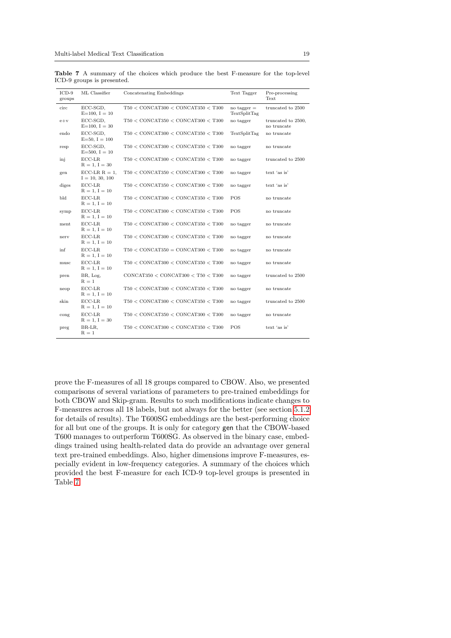| $ICD-9$<br>groups | ML Classifier                         | Concatenating Embeddings                           | Text Tagger                   | Pre-processing<br>Text            |
|-------------------|---------------------------------------|----------------------------------------------------|-------------------------------|-----------------------------------|
| circ              | ECC-SGD,<br>$E=100, I=10$             | $T50 <$ CONCAT300 $<$ CONCAT350 $<$ T300           | no tagger $=$<br>TextSplitTag | truncated to 2500                 |
| $e+v$             | ECC-SGD,<br>$E=100, I=30$             | $T50 <$ CONCAT350 $<$ CONCAT300 $<$ T300           | no tagger                     | truncated to 2500,<br>no truncate |
| endo              | ECC-SGD.<br>$E=50, I=100$             | $T50 <$ CONCAT300 $<$ CONCAT350 $<$ T300           | <b>TextSplitTag</b>           | no truncate                       |
| resp              | ECC-SGD.<br>$E=500, I=10$             | $T50 <$ CONCAT300 $<$ CONCAT350 $<$ T300           | no tagger                     | no truncate                       |
| inj               | $ECC$ -LR<br>$R = 1, I = 30$          | $T50 <$ CONCAT300 $<$ CONCAT350 $<$ T300           | no tagger                     | truncated to 2500                 |
| gen               | $ECC-LR R = 1$ ,<br>$I = 10, 30, 100$ | $T50 <$ CONCAT350 $<$ CONCAT300 $<$ T300           | no tagger                     | text 'as is'                      |
| diges             | $ECC$ -LR<br>$R = 1, I = 10$          | $T50 <$ CONCAT350 $<$ CONCAT300 $<$ T300           | no tagger                     | text 'as is'                      |
| bld               | $ECC$ -LR<br>$R = 1, I = 10$          | $T50 <$ CONCAT300 $<$ CONCAT350 $<$ T300           | <b>POS</b>                    | no truncate                       |
| symp              | $ECC$ -LR<br>$R = 1, I = 10$          | $T50 <$ CONCAT300 $<$ CONCAT350 $<$ T300           | <b>POS</b>                    | no truncate                       |
| ment              | $ECC$ -LR<br>$R = 1, I = 10$          | $T50 < \text{CONCAT}300 < \text{CONCAT}350 < T300$ | no tagger                     | no truncate                       |
| nerv              | $ECC$ -LR<br>$R = 1, I = 10$          | $T50 <$ CONCAT300 $<$ CONCAT350 $<$ T300           | no tagger                     | no truncate                       |
| inf               | $ECC$ -LR<br>$R = 1, I = 10$          | $T50 <$ CONCAT350 = CONCAT300 $<$ T300             | no tagger                     | no truncate                       |
| musc              | $ECC$ -LR<br>$R = 1, I = 10$          | $T50 <$ CONCAT300 $<$ CONCAT350 $<$ T300           | no tagger                     | no truncate                       |
| pren              | BR, Log,<br>$R = 1$                   | CONCAT350 < CONCAT300 < T50 < T300                 | no tagger                     | truncated to 2500                 |
| neop              | $ECC$ -LR<br>$R = 1, I = 10$          | $T50 <$ CONCAT300 $<$ CONCAT350 $<$ T300           | no tagger                     | no truncate                       |
| skin              | $ECC$ -LR<br>$R = 1, I = 10$          | $T50 <$ CONCAT300 $<$ CONCAT350 $<$ T300           | no tagger                     | truncated to 2500                 |
| cong              | $ECC$ -LR<br>$R = 1, I = 30$          | $T50 <$ CONCAT350 $<$ CONCAT300 $<$ T300           | no tagger                     | no truncate                       |
| preg              | BR-LR.<br>$R = 1$                     | $T50 <$ CONCAT300 $<$ CONCAT350 $<$ T300           | POS                           | text 'as is'                      |

<span id="page-18-0"></span>Table 7 A summary of the choices which produce the best F-measure for the top-level ICD-9 groups is presented.

prove the F-measures of all 18 groups compared to CBOW. Also, we presented comparisons of several variations of parameters to pre-trained embeddings for both CBOW and Skip-gram. Results to such modifications indicate changes to F-measures across all 18 labels, but not always for the better (see section [5.1.2](#page-13-2) for details of results). The T600SG embeddings are the best-performing choice for all but one of the groups. It is only for category gen that the CBOW-based T600 manages to outperform T600SG. As observed in the binary case, embeddings trained using health-related data do provide an advantage over general text pre-trained embeddings. Also, higher dimensions improve F-measures, especially evident in low-frequency categories. A summary of the choices which provided the best F-measure for each ICD-9 top-level groups is presented in Table [7.](#page-18-0)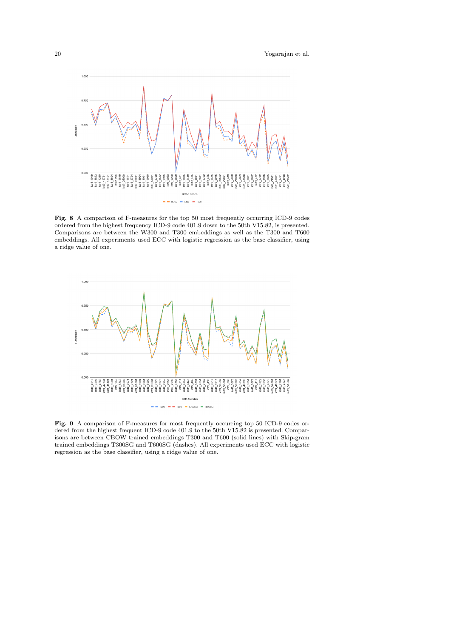

<span id="page-19-0"></span>Fig. 8 A comparison of F-measures for the top 50 most frequently occurring ICD-9 codes ordered from the highest frequency ICD-9 code 401.9 down to the 50th V15.82, is presented. Comparisons are between the W300 and T300 embeddings as well as the T300 and T600 embeddings. All experiments used ECC with logistic regression as the base classifier, using a ridge value of one.



<span id="page-19-2"></span><span id="page-19-1"></span>Fig. 9 A comparison of F-measures for most frequently occurring top 50 ICD-9 codes ordered from the highest frequent ICD-9 code 401.9 to the 50th V15.82 is presented. Comparisons are between CBOW trained embeddings T300 and T600 (solid lines) with Skip-gram trained embeddings T300SG and T600SG (dashes). All experiments used ECC with logistic regression as the base classifier, using a ridge value of one.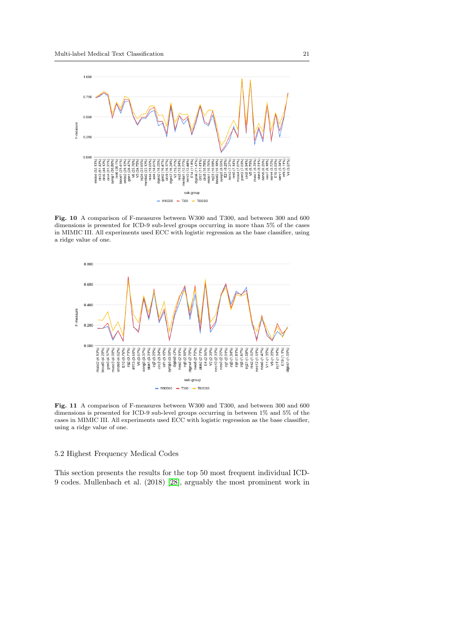

<span id="page-20-0"></span>Fig. 10 A comparison of F-measures between W300 and T300, and between 300 and 600 dimensions is presented for ICD-9 sub-level groups occurring in more than 5% of the cases in MIMIC III. All experiments used ECC with logistic regression as the base classifier, using a ridge value of one.



<span id="page-20-1"></span>Fig. 11 A comparison of F-measures between W300 and T300, and between 300 and 600 dimensions is presented for ICD-9 sub-level groups occurring in between 1% and 5% of the cases in MIMIC III. All experiments used ECC with logistic regression as the base classifier, using a ridge value of one.

# 5.2 Highest Frequency Medical Codes

This section presents the results for the top 50 most frequent individual ICD-9 codes. Mullenbach et al. (2018) [\[28\]](#page-24-5), arguably the most prominent work in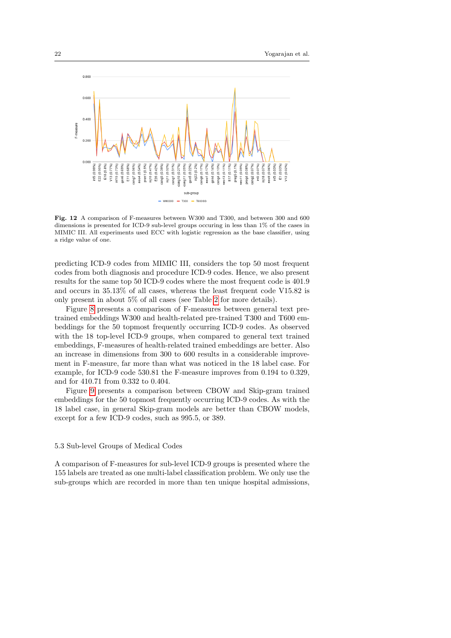

<span id="page-21-0"></span>Fig. 12 A comparison of F-measures between W300 and T300, and between 300 and 600 dimensions is presented for ICD-9 sub-level groups occuring in less than 1% of the cases in MIMIC III. All experiments used ECC with logistic regression as the base classifier, using a ridge value of one.

predicting ICD-9 codes from MIMIC III, considers the top 50 most frequent codes from both diagnosis and procedure ICD-9 codes. Hence, we also present results for the same top 50 ICD-9 codes where the most frequent code is 401.9 and occurs in 35.13% of all cases, whereas the least frequent code V15.82 is only present in about 5% of all cases (see Table [2](#page-6-0) for more details).

Figure [8](#page-19-0) presents a comparison of F-measures between general text pretrained embeddings W300 and health-related pre-trained T300 and T600 embeddings for the 50 topmost frequently occurring ICD-9 codes. As observed with the 18 top-level ICD-9 groups, when compared to general text trained embeddings, F-measures of health-related trained embeddings are better. Also an increase in dimensions from 300 to 600 results in a considerable improvement in F-measure, far more than what was noticed in the 18 label case. For example, for ICD-9 code 530.81 the F-measure improves from 0.194 to 0.329, and for 410.71 from 0.332 to 0.404.

Figure [9](#page-19-1) presents a comparison between CBOW and Skip-gram trained embeddings for the 50 topmost frequently occurring ICD-9 codes. As with the 18 label case, in general Skip-gram models are better than CBOW models, except for a few ICD-9 codes, such as 995.5, or 389.

#### 5.3 Sub-level Groups of Medical Codes

A comparison of F-measures for sub-level ICD-9 groups is presented where the 155 labels are treated as one multi-label classification problem. We only use the sub-groups which are recorded in more than ten unique hospital admissions,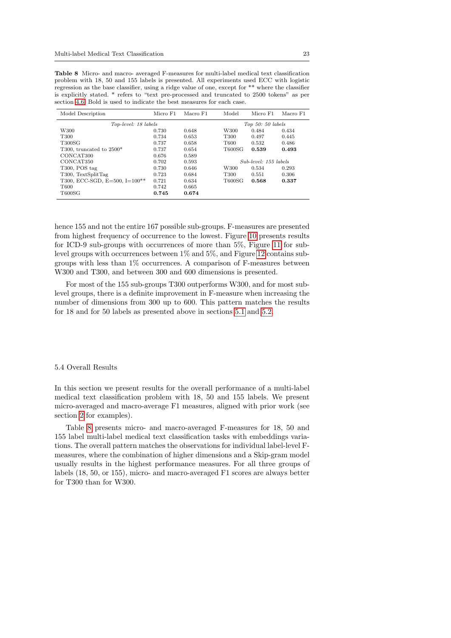| Model Description                  | Micro F1 | Macro F1 | Model  | Micro F1              | Macro F1 |
|------------------------------------|----------|----------|--------|-----------------------|----------|
| Top-level: 18 labels               |          |          |        | Top $50:50$ labels    |          |
| W <sub>300</sub>                   | 0.730    | 0.648    | W300   | 0.484                 | 0.434    |
| T300                               | 0.734    | 0.653    | T300   | 0.497                 | 0.445    |
| <b>T300SG</b>                      | 0.737    | 0.658    | T600   | 0.532                 | 0.486    |
| T300, truncated to $2500*$         | 0.737    | 0.654    | T600SG | 0.539                 | 0.493    |
| CONCAT <sub>300</sub>              | 0.676    | 0.589    |        |                       |          |
| CONCAT350                          | 0.702    | 0.593    |        | Sub-level: 155 labels |          |
| T <sub>300</sub> , POS tag         | 0.730    | 0.646    | W300   | 0.534                 | 0.293    |
| T300, TextSplitTag                 | 0.723    | 0.684    | T300   | 0.551                 | 0.306    |
| T300, ECC-SGD, $E=500$ , $I=100**$ | 0.721    | 0.634    | T600SG | 0.568                 | 0.337    |
| T <sub>600</sub>                   | 0.742    | 0.665    |        |                       |          |
| T600SG                             | 0.745    | 0.674    |        |                       |          |

<span id="page-22-0"></span>Table 8 Micro- and macro- averaged F-measures for multi-label medical text classification problem with 18, 50 and 155 labels is presented. All experiments used ECC with logistic regression as the base classifier, using a ridge value of one, except for \*\* where the classifier is explicitly stated. \* refers to "text pre-processed and truncated to 2500 tokens" as per section [4.6.](#page-10-1) Bold is used to indicate the best measures for each case.

hence 155 and not the entire 167 possible sub-groups. F-measures are presented from highest frequency of occurrence to the lowest. Figure [10](#page-20-0) presents results for ICD-9 sub-groups with occurrences of more than 5%, Figure [11](#page-20-1) for sublevel groups with occurrences between 1% and 5%, and Figure [12](#page-21-0) contains subgroups with less than 1% occurrences. A comparison of F-measures between W300 and T300, and between 300 and 600 dimensions is presented.

For most of the 155 sub-groups T300 outperforms W300, and for most sublevel groups, there is a definite improvement in F-measure when increasing the number of dimensions from 300 up to 600. This pattern matches the results for 18 and for 50 labels as presented above in sections [5.1](#page-12-0) and [5.2.](#page-19-2)

#### 5.4 Overall Results

In this section we present results for the overall performance of a multi-label medical text classification problem with 18, 50 and 155 labels. We present micro-averaged and macro-average F1 measures, aligned with prior work (see section [2](#page-2-0) for examples).

Table [8](#page-22-0) presents micro- and macro-averaged F-measures for 18, 50 and 155 label multi-label medical text classification tasks with embeddings variations. The overall pattern matches the observations for individual label-level Fmeasures, where the combination of higher dimensions and a Skip-gram model usually results in the highest performance measures. For all three groups of labels (18, 50, or 155), micro- and macro-averaged F1 scores are always better for T300 than for W300.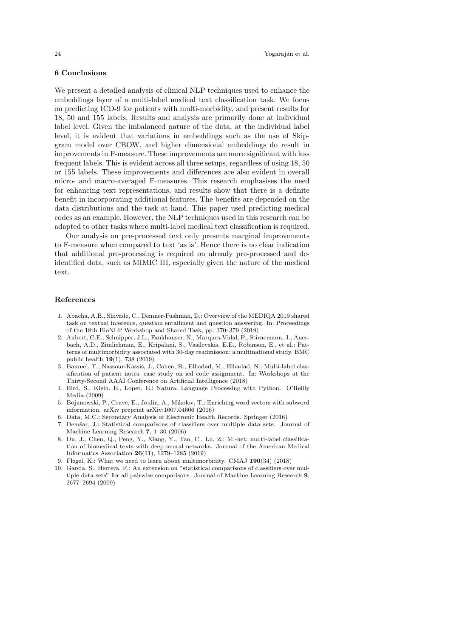## 6 Conclusions

We present a detailed analysis of clinical NLP techniques used to enhance the embeddings layer of a multi-label medical text classification task. We focus on predicting ICD-9 for patients with multi-morbidity, and present results for 18, 50 and 155 labels. Results and analysis are primarily done at individual label level. Given the imbalanced nature of the data, at the individual label level, it is evident that variations in embeddings such as the use of Skipgram model over CBOW, and higher dimensional embeddings do result in improvements in F-measure. These improvements are more significant with less frequent labels. This is evident across all three setups, regardless of using 18, 50 or 155 labels. These improvements and differences are also evident in overall micro- and macro-averaged F-measures. This research emphasises the need for enhancing text representations, and results show that there is a definite benefit in incorporating additional features. The benefits are depended on the data distributions and the task at hand. This paper used predicting medical codes as an example. However, the NLP techniques used in this research can be adapted to other tasks where multi-label medical text classification is required.

Our analysis on pre-processed text only presents marginal improvements to F-measure when compared to text 'as is'. Hence there is no clear indication that additional pre-processing is required on already pre-processed and deidentified data, such as MIMIC III, especially given the nature of the medical text.

#### References

- <span id="page-23-6"></span>1. Abacha, A.B., Shivade, C., Demner-Fushman, D.: Overview of the MEDIQA 2019 shared task on textual inference, question entailment and question answering. In: Proceedings of the 18th BioNLP Workshop and Shared Task, pp. 370–379 (2019)
- <span id="page-23-1"></span>2. Aubert, C.E., Schnipper, J.L., Fankhauser, N., Marques-Vidal, P., Stirnemann, J., Auerbach, A.D., Zimlichman, E., Kripalani, S., Vasilevskis, E.E., Robinson, E., et al.: Patterns of multimorbidity associated with 30-day readmission: a multinational study. BMC public health 19(1), 738 (2019)
- <span id="page-23-3"></span>3. Baumel, T., Nassour-Kassis, J., Cohen, R., Elhadad, M., Elhadad, N.: Multi-label classification of patient notes: case study on icd code assignment. In: Workshops at the Thirty-Second AAAI Conference on Artificial Intelligence (2018)
- <span id="page-23-9"></span>4. Bird, S., Klein, E., Loper, E.: Natural Language Processing with Python. O'Reilly Media (2009)
- <span id="page-23-5"></span>5. Bojanowski, P., Grave, E., Joulin, A., Mikolov, T.: Enriching word vectors with subword information. arXiv preprint arXiv:1607.04606 (2016)
- <span id="page-23-4"></span>6. Data, M.C.: Secondary Analysis of Electronic Health Records. Springer (2016)
- <span id="page-23-7"></span>7. Demšar, J.: Statistical comparisons of classifiers over multiple data sets. Journal of Machine Learning Research 7, 1–30 (2006)
- <span id="page-23-2"></span>8. Du, J., Chen, Q., Peng, Y., Xiang, Y., Tao, C., Lu, Z.: Ml-net: multi-label classification of biomedical texts with deep neural networks. Journal of the American Medical Informatics Association 26(11), 1279–1285 (2019)
- <span id="page-23-0"></span>9. Flegel, K.: What we need to learn about multimorbidity. CMAJ 190(34) (2018)
- <span id="page-23-8"></span>10. Garcia, S., Herrera, F.: An extension on "statistical comparisons of classifiers over multiple data sets" for all pairwise comparisons. Journal of Machine Learning Research 9, 2677–2694 (2009)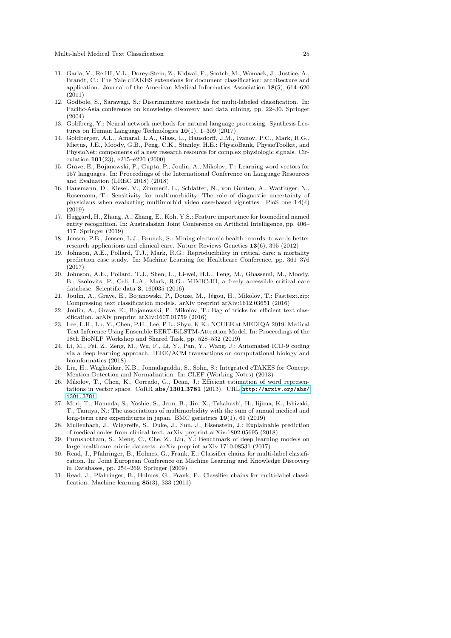- <span id="page-24-3"></span>11. Garla, V., Re III, V.L., Dorey-Stein, Z., Kidwai, F., Scotch, M., Womack, J., Justice, A., Brandt, C.: The Yale cTAKES extensions for document classification: architecture and application. Journal of the American Medical Informatics Association 18(5), 614–620 (2011)
- <span id="page-24-16"></span>12. Godbole, S., Sarawagi, S.: Discriminative methods for multi-labeled classification. In: Pacific-Asia conference on knowledge discovery and data mining, pp. 22–30. Springer (2004)
- <span id="page-24-2"></span>13. Goldberg, Y.: Neural network methods for natural language processing. Synthesis Lectures on Human Language Technologies 10(1), 1–309 (2017)
- <span id="page-24-9"></span>14. Goldberger, A.L., Amaral, L.A., Glass, L., Hausdorff, J.M., Ivanov, P.C., Mark, R.G., Mietus, J.E., Moody, G.B., Peng, C.K., Stanley, H.E.: PhysioBank, PhysioToolkit, and PhysioNet: components of a new research resource for complex physiologic signals. Circulation 101(23), e215–e220 (2000)
- <span id="page-24-15"></span>15. Grave, E., Bojanowski, P., Gupta, P., Joulin, A., Mikolov, T.: Learning word vectors for 157 languages. In: Proceedings of the International Conference on Language Resources and Evaluation (LREC 2018) (2018)
- <span id="page-24-0"></span>16. Hausmann, D., Kiesel, V., Zimmerli, L., Schlatter, N., von Gunten, A., Wattinger, N., Rosemann, T.: Sensitivity for multimorbidity: The role of diagnostic uncertainty of physicians when evaluating multimorbid video case-based vignettes. PloS one 14(4) (2019)
- <span id="page-24-10"></span>17. Huggard, H., Zhang, A., Zhang, E., Koh, Y.S.: Feature importance for biomedical named entity recognition. In: Australasian Joint Conference on Artificial Intelligence, pp. 406– 417. Springer (2019)
- <span id="page-24-11"></span>18. Jensen, P.B., Jensen, L.J., Brunak, S.: Mining electronic health records: towards better research applications and clinical care. Nature Reviews Genetics 13(6), 395 (2012)
- <span id="page-24-8"></span>19. Johnson, A.E., Pollard, T.J., Mark, R.G.: Reproducibility in critical care: a mortality prediction case study. In: Machine Learning for Healthcare Conference, pp. 361–376 (2017)
- <span id="page-24-12"></span>20. Johnson, A.E., Pollard, T.J., Shen, L., Li-wei, H.L., Feng, M., Ghassemi, M., Moody, B., Szolovits, P., Celi, L.A., Mark, R.G.: MIMIC-III, a freely accessible critical care database. Scientific data 3, 160035 (2016)
- <span id="page-24-14"></span>21. Joulin, A., Grave, E., Bojanowski, P., Douze, M., Jégou, H., Mikolov, T.; Fasttext.zip: Compressing text classification models. arXiv preprint arXiv:1612.03651 (2016)
- <span id="page-24-13"></span>22. Joulin, A., Grave, E., Bojanowski, P., Mikolov, T.: Bag of tricks for efficient text classification. arXiv preprint arXiv:1607.01759 (2016)
- <span id="page-24-19"></span>23. Lee, L.H., Lu, Y., Chen, P.H., Lee, P.L., Shyu, K.K.: NCUEE at MEDIQA 2019: Medical Text Inference Using Ensemble BERT-BiLSTM-Attention Model. In: Proceedings of the 18th BioNLP Workshop and Shared Task, pp. 528–532 (2019)
- <span id="page-24-6"></span>24. Li, M., Fei, Z., Zeng, M., Wu, F., Li, Y., Pan, Y., Wang, J.: Automated ICD-9 coding via a deep learning approach. IEEE/ACM transactions on computational biology and bioinformatics (2018)
- <span id="page-24-4"></span>25. Liu, H., Wagholikar, K.B., Jonnalagadda, S., Sohn, S.: Integrated cTAKES for Concept Mention Detection and Normalization. In: CLEF (Working Notes) (2013)
- <span id="page-24-20"></span>26. Mikolov, T., Chen, K., Corrado, G., Dean, J.: Efficient estimation of word representations in vector space. CoRR abs/1301.3781 (2013). URL [http://arxiv.org/abs/](http://arxiv.org/abs/1301.3781) [1301.3781](http://arxiv.org/abs/1301.3781)
- <span id="page-24-1"></span>27. Mori, T., Hamada, S., Yoshie, S., Jeon, B., Jin, X., Takahashi, H., Iijima, K., Ishizaki, T., Tamiya, N.: The associations of multimorbidity with the sum of annual medical and long-term care expenditures in japan. BMC geriatrics 19(1), 69 (2019)
- <span id="page-24-5"></span>28. Mullenbach, J., Wiegreffe, S., Duke, J., Sun, J., Eisenstein, J.: Explainable prediction of medical codes from clinical text. arXiv preprint arXiv:1802.05695 (2018)
- <span id="page-24-7"></span>29. Purushotham, S., Meng, C., Che, Z., Liu, Y.: Benchmark of deep learning models on large healthcare mimic datasets. arXiv preprint arXiv:1710.08531 (2017)
- <span id="page-24-17"></span>30. Read, J., Pfahringer, B., Holmes, G., Frank, E.: Classifier chains for multi-label classification. In: Joint European Conference on Machine Learning and Knowledge Discovery in Databases, pp. 254–269. Springer (2009)
- <span id="page-24-18"></span>31. Read, J., Pfahringer, B., Holmes, G., Frank, E.: Classifier chains for multi-label classification. Machine learning  $85(3)$ , 333 (2011)